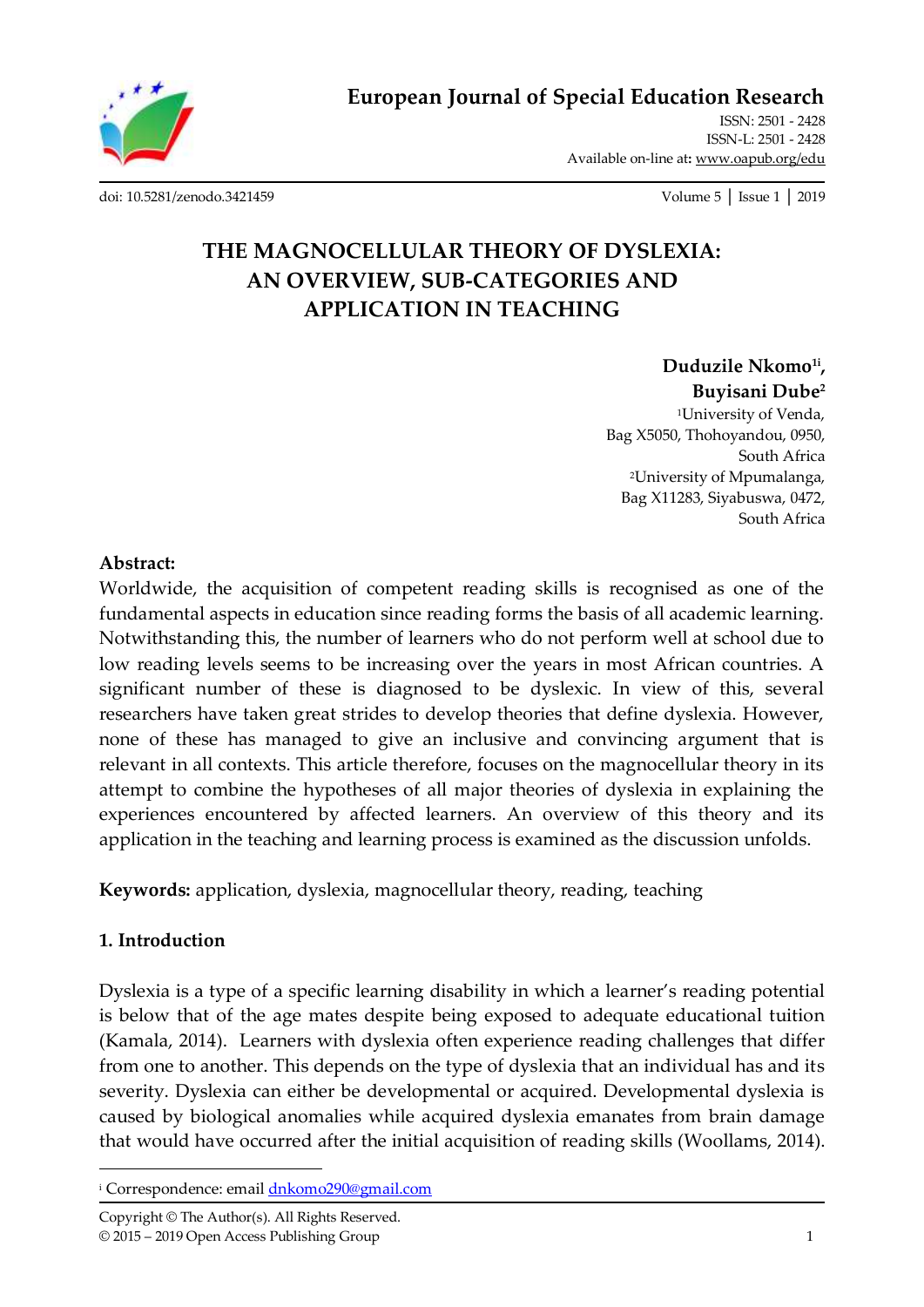

**European Journal of Special Education Research**

ISSN: 2501 - 2428 ISSN-L: 2501 - 2428 Available on-line at**:** [www.oapub.org/edu](http://www.oapub.org/edu)

[doi: 10.5281/zenodo.3421459](http://dx.doi.org/10.5281/zenodo.3421459) Volume 5 │ Issue 1 │ 2019

# **THE MAGNOCELLULAR THEORY OF DYSLEXIA: AN OVERVIEW, SUB-CATEGORIES AND APPLICATION IN TEACHING**

**Duduzile Nkomo1i , Buyisani Dube<sup>2</sup>**

<sup>1</sup>University of Venda, Bag X5050, Thohoyandou, 0950, South Africa <sup>2</sup>University of Mpumalanga, Bag X11283, Siyabuswa, 0472, South Africa

#### **Abstract:**

Worldwide, the acquisition of competent reading skills is recognised as one of the fundamental aspects in education since reading forms the basis of all academic learning. Notwithstanding this, the number of learners who do not perform well at school due to low reading levels seems to be increasing over the years in most African countries. A significant number of these is diagnosed to be dyslexic. In view of this, several researchers have taken great strides to develop theories that define dyslexia. However, none of these has managed to give an inclusive and convincing argument that is relevant in all contexts. This article therefore, focuses on the magnocellular theory in its attempt to combine the hypotheses of all major theories of dyslexia in explaining the experiences encountered by affected learners. An overview of this theory and its application in the teaching and learning process is examined as the discussion unfolds.

**Keywords:** application, dyslexia, magnocellular theory, reading, teaching

#### **1. Introduction**

 $\overline{\phantom{a}}$ 

Dyslexia is a type of a specific learning disability in which a learner's reading potential is below that of the age mates despite being exposed to adequate educational tuition (Kamala, 2014). Learners with dyslexia often experience reading challenges that differ from one to another. This depends on the type of dyslexia that an individual has and its severity. Dyslexia can either be developmental or acquired. Developmental dyslexia is caused by biological anomalies while acquired dyslexia emanates from brain damage that would have occurred after the initial acquisition of reading skills (Woollams, 2014).

<sup>&</sup>lt;sup>i</sup> Correspondence: email **dnkomo290@gmail.com**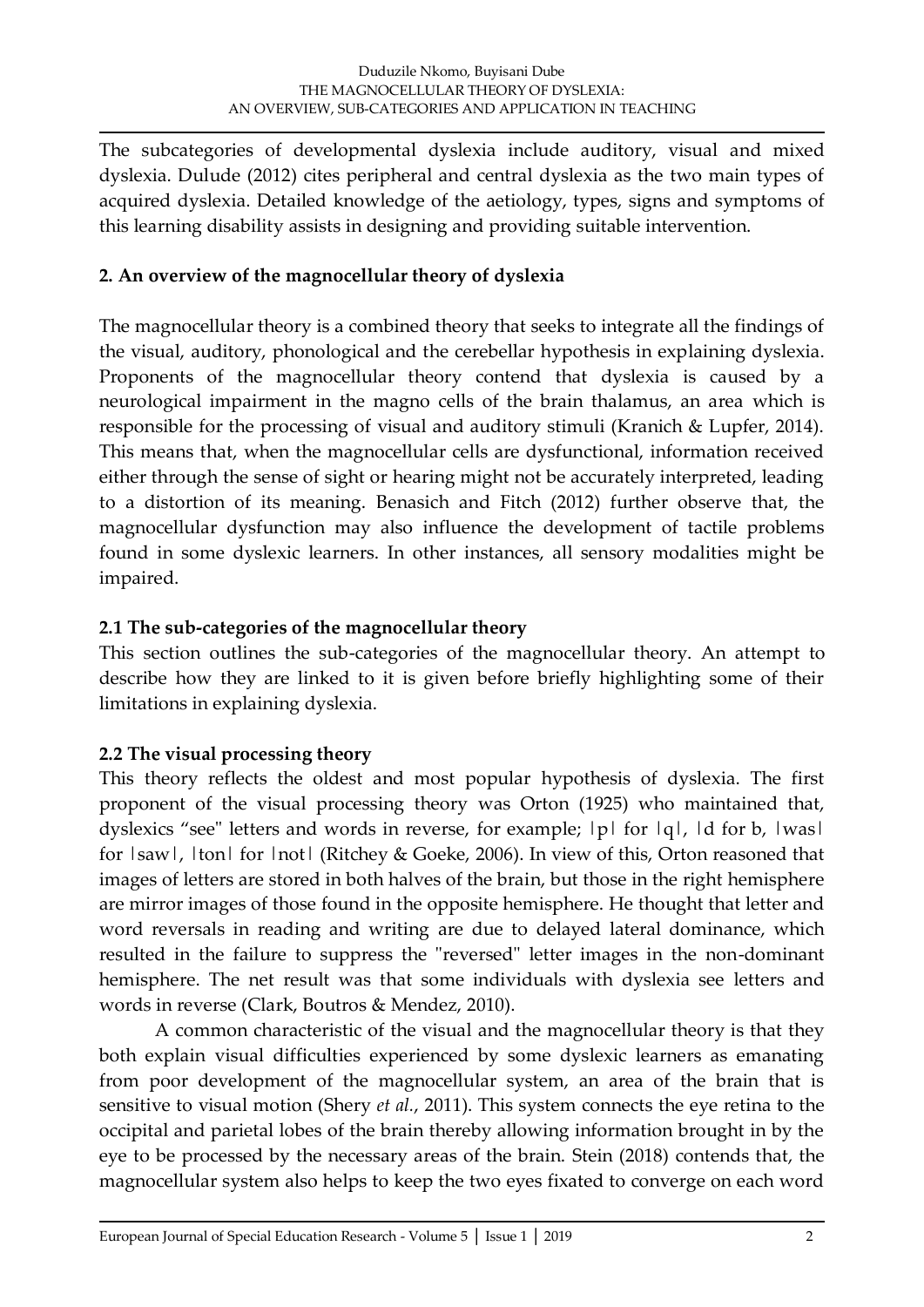The subcategories of developmental dyslexia include auditory, visual and mixed dyslexia. Dulude (2012) cites peripheral and central dyslexia as the two main types of acquired dyslexia. Detailed knowledge of the aetiology, types, signs and symptoms of this learning disability assists in designing and providing suitable intervention.

# **2. An overview of the magnocellular theory of dyslexia**

The magnocellular theory is a combined theory that seeks to integrate all the findings of the visual, auditory, phonological and the cerebellar hypothesis in explaining dyslexia. Proponents of the magnocellular theory contend that dyslexia is caused by a neurological impairment in the magno cells of the brain thalamus, an area which is responsible for the processing of visual and auditory stimuli (Kranich & Lupfer, 2014). This means that, when the magnocellular cells are dysfunctional, information received either through the sense of sight or hearing might not be accurately interpreted, leading to a distortion of its meaning. Benasich and Fitch (2012) further observe that, the magnocellular dysfunction may also influence the development of tactile problems found in some dyslexic learners. In other instances, all sensory modalities might be impaired.

## **2.1 The sub-categories of the magnocellular theory**

This section outlines the sub-categories of the magnocellular theory. An attempt to describe how they are linked to it is given before briefly highlighting some of their limitations in explaining dyslexia.

# **2.2 The visual processing theory**

This theory reflects the oldest and most popular hypothesis of dyslexia. The first proponent of the visual processing theory was Orton (1925) who maintained that, dyslexics "see" letters and words in reverse, for example;  $|p|$  for  $|q|$ ,  $|d$  for  $b$ ,  $|was|$ for  $|saw|$ ,  $|ton|$  for  $|not|$  (Ritchey & Goeke, 2006). In view of this, Orton reasoned that images of letters are stored in both halves of the brain, but those in the right hemisphere are mirror images of those found in the opposite hemisphere. He thought that letter and word reversals in reading and writing are due to delayed lateral dominance, which resulted in the failure to suppress the "reversed" letter images in the non-dominant hemisphere. The net result was that some individuals with dyslexia see letters and words in reverse (Clark, Boutros & Mendez, 2010).

A common characteristic of the visual and the magnocellular theory is that they both explain visual difficulties experienced by some dyslexic learners as emanating from poor development of the magnocellular system, an area of the brain that is sensitive to visual motion (Shery *et al.*, 2011). This system connects the eye retina to the occipital and parietal lobes of the brain thereby allowing information brought in by the eye to be processed by the necessary areas of the brain. Stein (2018) contends that, the magnocellular system also helps to keep the two eyes fixated to converge on each word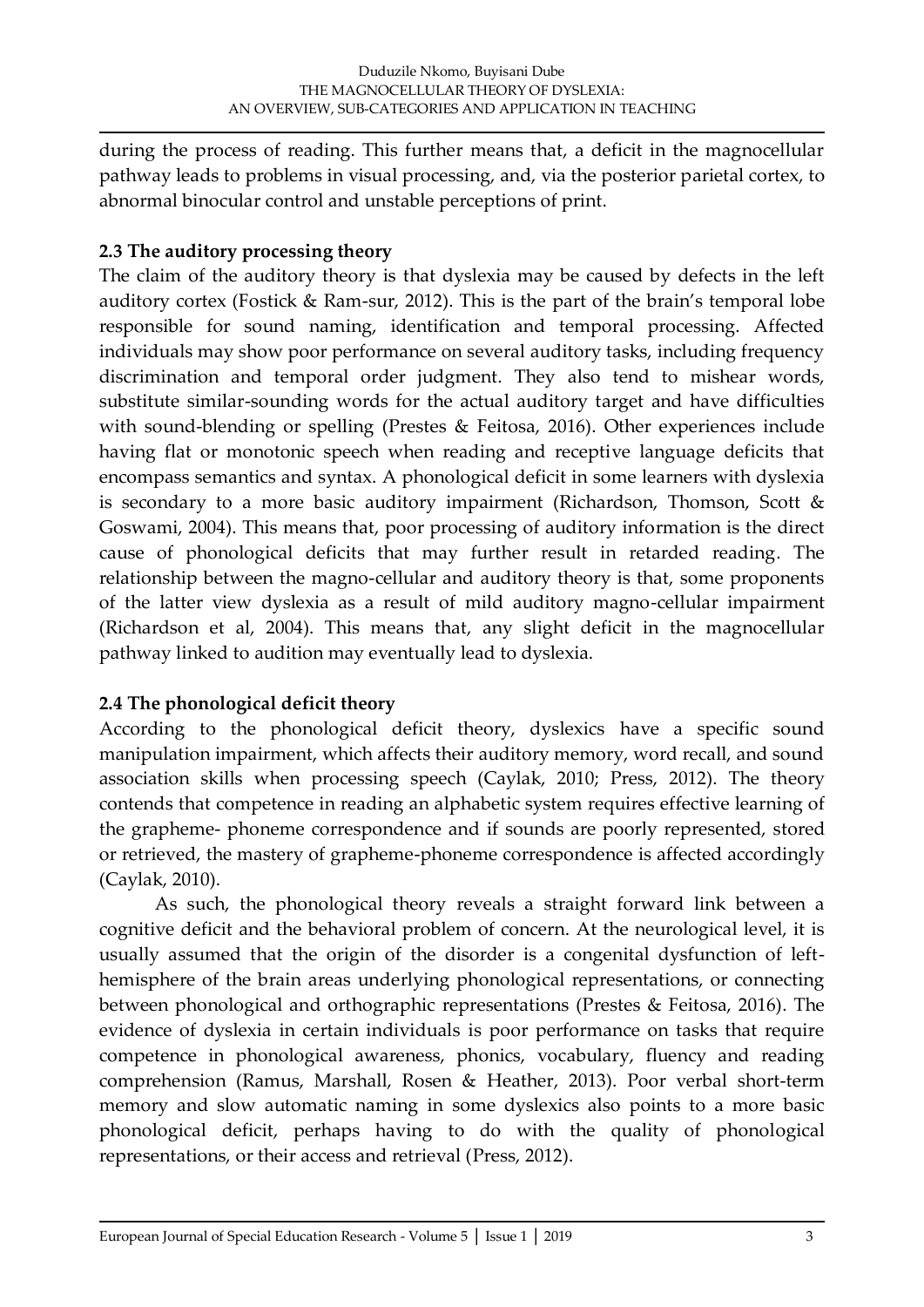during the process of reading. This further means that, a deficit in the magnocellular pathway leads to problems in visual processing, and, via the posterior parietal cortex, to abnormal binocular control and unstable perceptions of print.

# **2.3 The auditory processing theory**

The claim of the auditory theory is that dyslexia may be caused by defects in the left auditory cortex (Fostick & Ram-sur, 2012). This is the part of the brain's temporal lobe responsible for sound naming, identification and temporal processing. Affected individuals may show poor performance on several auditory tasks, including frequency discrimination and temporal order judgment. They also tend to mishear words, substitute similar-sounding words for the actual auditory target and have difficulties with sound-blending or spelling (Prestes & Feitosa, 2016). Other experiences include having flat or monotonic speech when reading and receptive language deficits that encompass semantics and syntax. A phonological deficit in some learners with dyslexia is secondary to a more basic auditory impairment (Richardson, Thomson, Scott & Goswami, 2004). This means that, poor processing of auditory information is the direct cause of phonological deficits that may further result in retarded reading. The relationship between the magno-cellular and auditory theory is that, some proponents of the latter view dyslexia as a result of mild auditory magno-cellular impairment (Richardson et al, 2004). This means that, any slight deficit in the magnocellular pathway linked to audition may eventually lead to dyslexia.

# **2.4 The phonological deficit theory**

According to the phonological deficit theory, dyslexics have a specific sound manipulation impairment, which affects their auditory memory, word recall, and sound association skills when processing speech (Caylak, 2010; Press, 2012). The theory contends that competence in reading an alphabetic system requires effective learning of the grapheme- phoneme correspondence and if sounds are poorly represented, stored or retrieved, the mastery of grapheme-phoneme correspondence is affected accordingly (Caylak, 2010).

As such, the phonological theory reveals a straight forward link between a cognitive deficit and the behavioral problem of concern. At the neurological level, it is usually assumed that the origin of the disorder is a congenital dysfunction of lefthemisphere of the brain areas underlying phonological representations, or connecting between phonological and orthographic representations (Prestes & Feitosa, 2016). The evidence of dyslexia in certain individuals is poor performance on tasks that require competence in phonological awareness, phonics, vocabulary, fluency and reading comprehension (Ramus, Marshall, Rosen & Heather, 2013). Poor verbal short-term memory and slow automatic naming in some dyslexics also points to a more basic phonological deficit, perhaps having to do with the quality of phonological representations, or their access and retrieval (Press, 2012).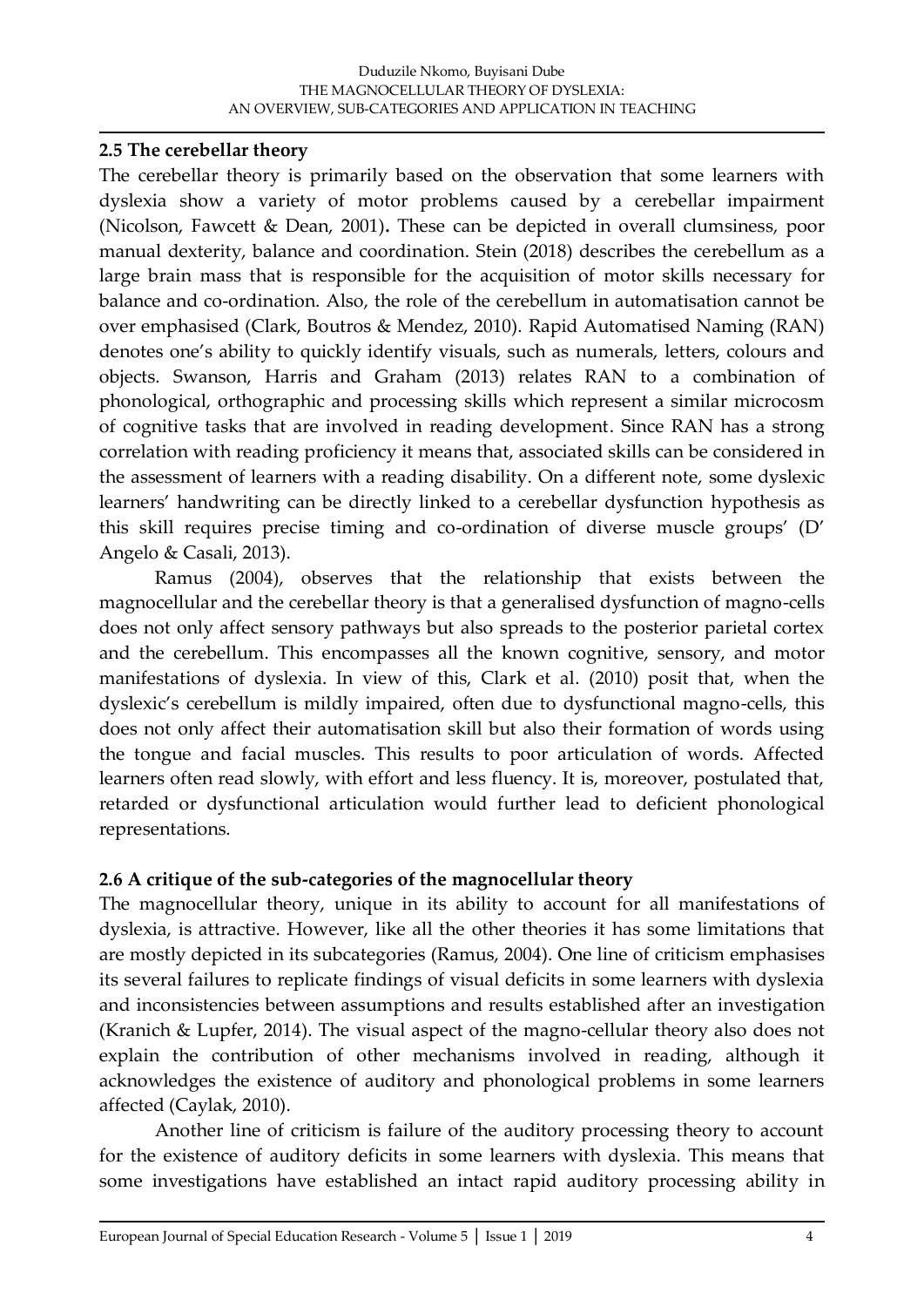#### **2.5 The cerebellar theory**

The cerebellar theory is primarily based on the observation that some learners with dyslexia show a variety of motor problems caused by a cerebellar impairment (Nicolson, Fawcett & Dean, 2001)**.** These can be depicted in overall clumsiness, poor manual dexterity, balance and coordination. Stein (2018) describes the cerebellum as a large brain mass that is responsible for the acquisition of motor skills necessary for balance and co-ordination. Also, the role of the cerebellum in automatisation cannot be over emphasised (Clark, Boutros & Mendez, 2010). Rapid Automatised Naming (RAN) denotes one's ability to quickly identify visuals, such as numerals, letters, colours and objects. Swanson, Harris and Graham (2013) relates RAN to a combination of phonological, orthographic and processing skills which represent a similar microcosm of cognitive tasks that are involved in reading development. Since RAN has a strong correlation with reading proficiency it means that, associated skills can be considered in the assessment of learners with a reading disability. On a different note, some dyslexic learners' handwriting can be directly linked to a cerebellar dysfunction hypothesis as this skill requires precise timing and co-ordination of diverse muscle groups' (D' Angelo & Casali, 2013).

Ramus (2004), observes that the relationship that exists between the magnocellular and the cerebellar theory is that a generalised dysfunction of magno-cells does not only affect sensory pathways but also spreads to the posterior parietal cortex and the cerebellum. This encompasses all the known cognitive, sensory, and motor manifestations of dyslexia. In view of this, Clark et al. (2010) posit that, when the dyslexic's cerebellum is mildly impaired, often due to dysfunctional magno-cells, this does not only affect their automatisation skill but also their formation of words using the tongue and facial muscles. This results to poor articulation of words. Affected learners often read slowly, with effort and less fluency. It is, moreover, postulated that, retarded or dysfunctional articulation would further lead to deficient phonological representations.

# **2.6 A critique of the sub-categories of the magnocellular theory**

The magnocellular theory, unique in its ability to account for all manifestations of dyslexia, is attractive. However, like all the other theories it has some limitations that are mostly depicted in its subcategories (Ramus, 2004). One line of criticism emphasises its several failures to replicate findings of visual deficits in some learners with dyslexia and inconsistencies between assumptions and results established after an investigation (Kranich & Lupfer, 2014). The visual aspect of the magno-cellular theory also does not explain the contribution of other mechanisms involved in reading, although it acknowledges the existence of auditory and phonological problems in some learners affected (Caylak, 2010).

Another line of criticism is failure of the auditory processing theory to account for the existence of auditory deficits in some learners with dyslexia. This means that some investigations have established an intact rapid auditory processing ability in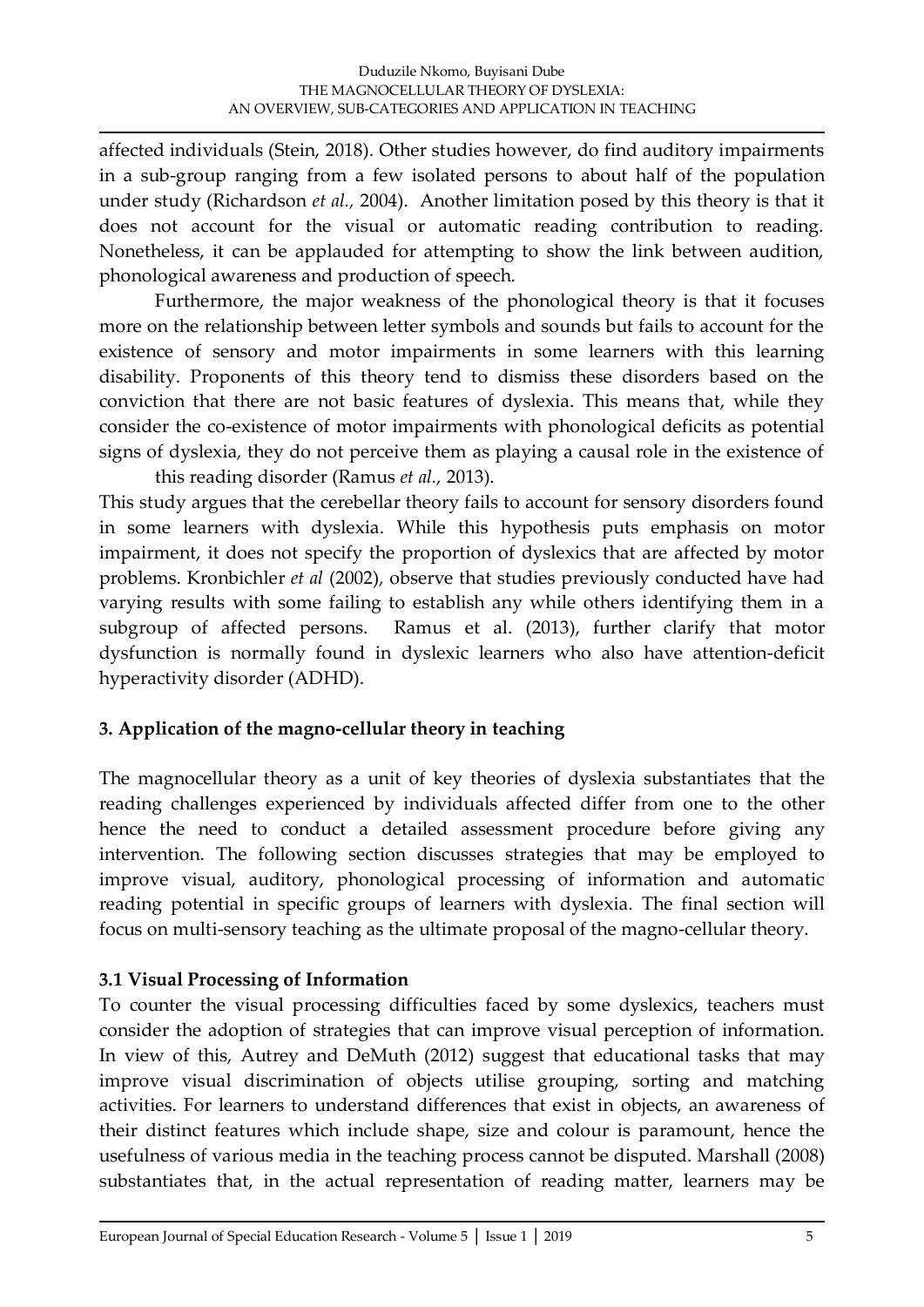affected individuals (Stein, 2018). Other studies however, do find auditory impairments in a sub-group ranging from a few isolated persons to about half of the population under study (Richardson *et al.,* 2004). Another limitation posed by this theory is that it does not account for the visual or automatic reading contribution to reading. Nonetheless, it can be applauded for attempting to show the link between audition, phonological awareness and production of speech.

Furthermore, the major weakness of the phonological theory is that it focuses more on the relationship between letter symbols and sounds but fails to account for the existence of sensory and motor impairments in some learners with this learning disability. Proponents of this theory tend to dismiss these disorders based on the conviction that there are not basic features of dyslexia. This means that, while they consider the co-existence of motor impairments with phonological deficits as potential signs of dyslexia, they do not perceive them as playing a causal role in the existence of this reading disorder (Ramus *et al.,* 2013).

This study argues that the cerebellar theory fails to account for sensory disorders found in some learners with dyslexia. While this hypothesis puts emphasis on motor impairment, it does not specify the proportion of dyslexics that are affected by motor problems. Kronbichler *et al* (2002), observe that studies previously conducted have had varying results with some failing to establish any while others identifying them in a subgroup of affected persons. Ramus et al. (2013), further clarify that motor dysfunction is normally found in dyslexic learners who also have attention-deficit hyperactivity disorder (ADHD).

# **3. Application of the magno-cellular theory in teaching**

The magnocellular theory as a unit of key theories of dyslexia substantiates that the reading challenges experienced by individuals affected differ from one to the other hence the need to conduct a detailed assessment procedure before giving any intervention. The following section discusses strategies that may be employed to improve visual, auditory, phonological processing of information and automatic reading potential in specific groups of learners with dyslexia. The final section will focus on multi-sensory teaching as the ultimate proposal of the magno-cellular theory.

# **3.1 Visual Processing of Information**

To counter the visual processing difficulties faced by some dyslexics, teachers must consider the adoption of strategies that can improve visual perception of information. In view of this, Autrey and DeMuth (2012) suggest that educational tasks that may improve visual discrimination of objects utilise grouping, sorting and matching activities. For learners to understand differences that exist in objects, an awareness of their distinct features which include shape, size and colour is paramount, hence the usefulness of various media in the teaching process cannot be disputed. Marshall (2008) substantiates that, in the actual representation of reading matter, learners may be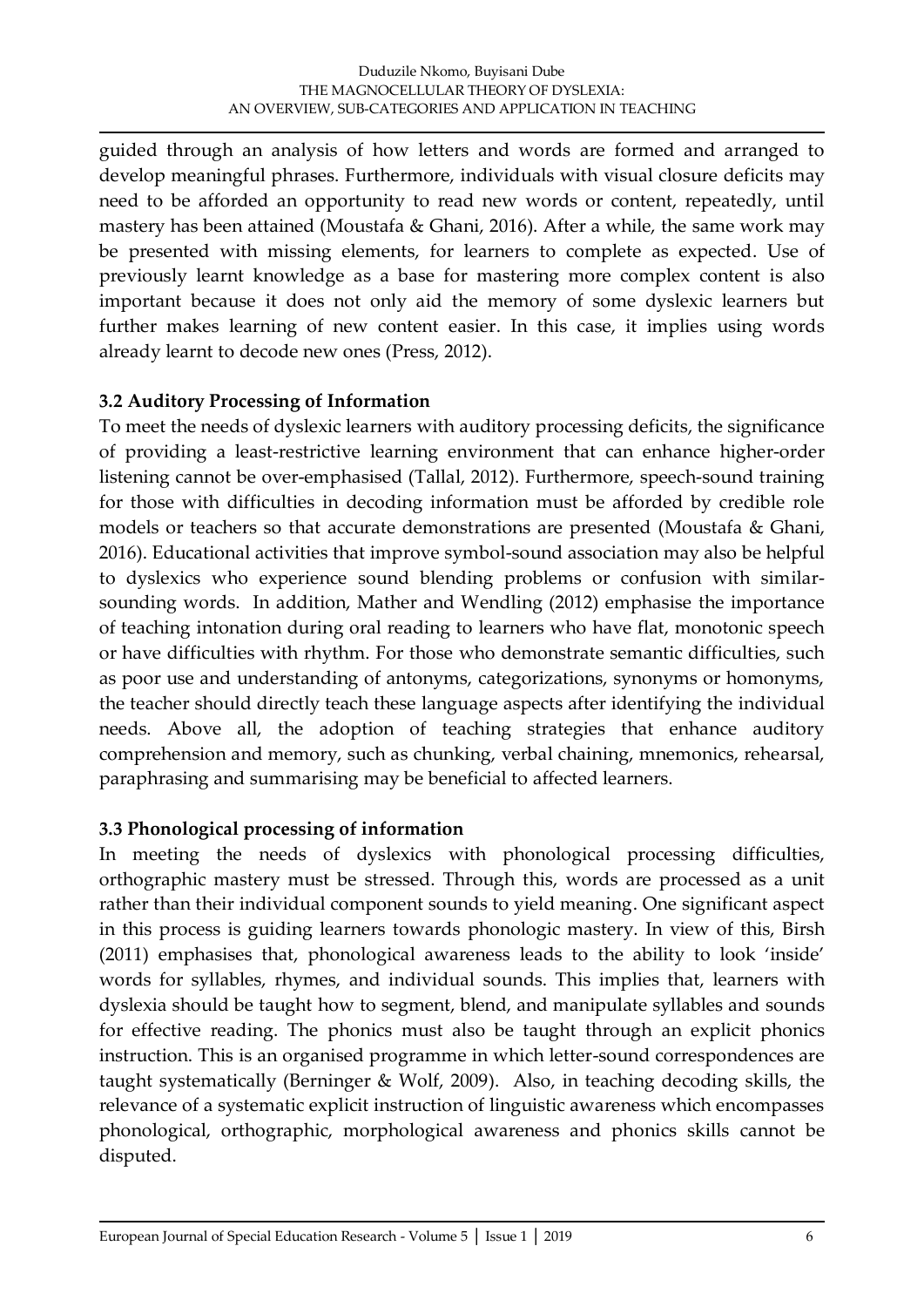guided through an analysis of how letters and words are formed and arranged to develop meaningful phrases. Furthermore, individuals with visual closure deficits may need to be afforded an opportunity to read new words or content, repeatedly, until mastery has been attained (Moustafa & Ghani, 2016). After a while, the same work may be presented with missing elements, for learners to complete as expected. Use of previously learnt knowledge as a base for mastering more complex content is also important because it does not only aid the memory of some dyslexic learners but further makes learning of new content easier. In this case, it implies using words already learnt to decode new ones (Press, 2012).

## **3.2 Auditory Processing of Information**

To meet the needs of dyslexic learners with auditory processing deficits, the significance of providing a least-restrictive learning environment that can enhance higher-order listening cannot be over-emphasised (Tallal, 2012). Furthermore, speech-sound training for those with difficulties in decoding information must be afforded by credible role models or teachers so that accurate demonstrations are presented (Moustafa & Ghani, 2016). Educational activities that improve symbol-sound association may also be helpful to dyslexics who experience sound blending problems or confusion with similarsounding words. In addition, Mather and Wendling (2012) emphasise the importance of teaching intonation during oral reading to learners who have flat, monotonic speech or have difficulties with rhythm. For those who demonstrate semantic difficulties, such as poor use and understanding of antonyms, categorizations, synonyms or homonyms, the teacher should directly teach these language aspects after identifying the individual needs. Above all, the adoption of teaching strategies that enhance auditory comprehension and memory, such as chunking, verbal chaining, mnemonics, rehearsal, paraphrasing and summarising may be beneficial to affected learners.

# **3.3 Phonological processing of information**

In meeting the needs of dyslexics with phonological processing difficulties, orthographic mastery must be stressed. Through this, words are processed as a unit rather than their individual component sounds to yield meaning. One significant aspect in this process is guiding learners towards phonologic mastery. In view of this, Birsh (2011) emphasises that, phonological awareness leads to the ability to look 'inside' words for syllables, rhymes, and individual sounds. This implies that, learners with dyslexia should be taught how to segment, blend, and manipulate syllables and sounds for effective reading. The phonics must also be taught through an explicit phonics instruction. This is an organised programme in which letter-sound correspondences are taught systematically (Berninger & Wolf, 2009). Also, in teaching decoding skills, the relevance of a systematic explicit instruction of linguistic awareness which encompasses phonological, orthographic, morphological awareness and phonics skills cannot be disputed.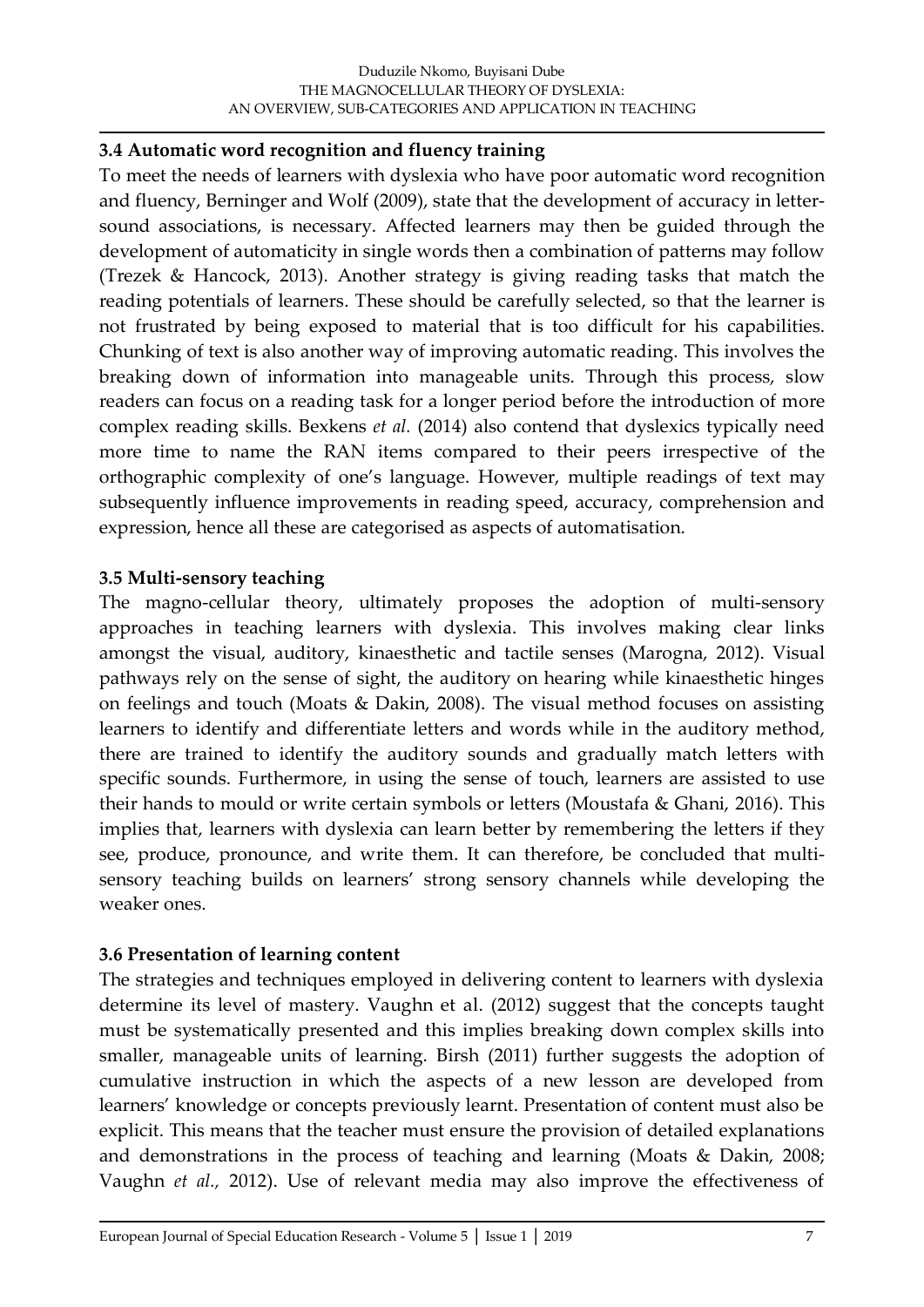#### **3.4 Automatic word recognition and fluency training**

To meet the needs of learners with dyslexia who have poor automatic word recognition and fluency, Berninger and Wolf (2009), state that the development of accuracy in lettersound associations, is necessary. Affected learners may then be guided through the development of automaticity in single words then a combination of patterns may follow (Trezek & Hancock, 2013). Another strategy is giving reading tasks that match the reading potentials of learners. These should be carefully selected, so that the learner is not frustrated by being exposed to material that is too difficult for his capabilities. Chunking of text is also another way of improving automatic reading. This involves the breaking down of information into manageable units. Through this process, slow readers can focus on a reading task for a longer period before the introduction of more complex reading skills. Bexkens *et al.* (2014) also contend that dyslexics typically need more time to name the RAN items compared to their peers irrespective of the orthographic complexity of one's language. However, multiple readings of text may subsequently influence improvements in reading speed, accuracy, comprehension and expression, hence all these are categorised as aspects of automatisation.

#### **3.5 Multi-sensory teaching**

The magno-cellular theory, ultimately proposes the adoption of multi-sensory approaches in teaching learners with dyslexia. This involves making clear links amongst the visual, auditory, kinaesthetic and tactile senses (Marogna, 2012). Visual pathways rely on the sense of sight, the auditory on hearing while kinaesthetic hinges on feelings and touch (Moats & Dakin, 2008). The visual method focuses on assisting learners to identify and differentiate letters and words while in the auditory method, there are trained to identify the auditory sounds and gradually match letters with specific sounds. Furthermore, in using the sense of touch, learners are assisted to use their hands to mould or write certain symbols or letters (Moustafa & Ghani, 2016). This implies that, learners with dyslexia can learn better by remembering the letters if they see, produce, pronounce, and write them. It can therefore, be concluded that multisensory teaching builds on learners' strong sensory channels while developing the weaker ones.

#### **3.6 Presentation of learning content**

The strategies and techniques employed in delivering content to learners with dyslexia determine its level of mastery. Vaughn et al. (2012) suggest that the concepts taught must be systematically presented and this implies breaking down complex skills into smaller, manageable units of learning. Birsh (2011) further suggests the adoption of cumulative instruction in which the aspects of a new lesson are developed from learners' knowledge or concepts previously learnt. Presentation of content must also be explicit. This means that the teacher must ensure the provision of detailed explanations and demonstrations in the process of teaching and learning (Moats & Dakin, 2008; Vaughn *et al.,* 2012). Use of relevant media may also improve the effectiveness of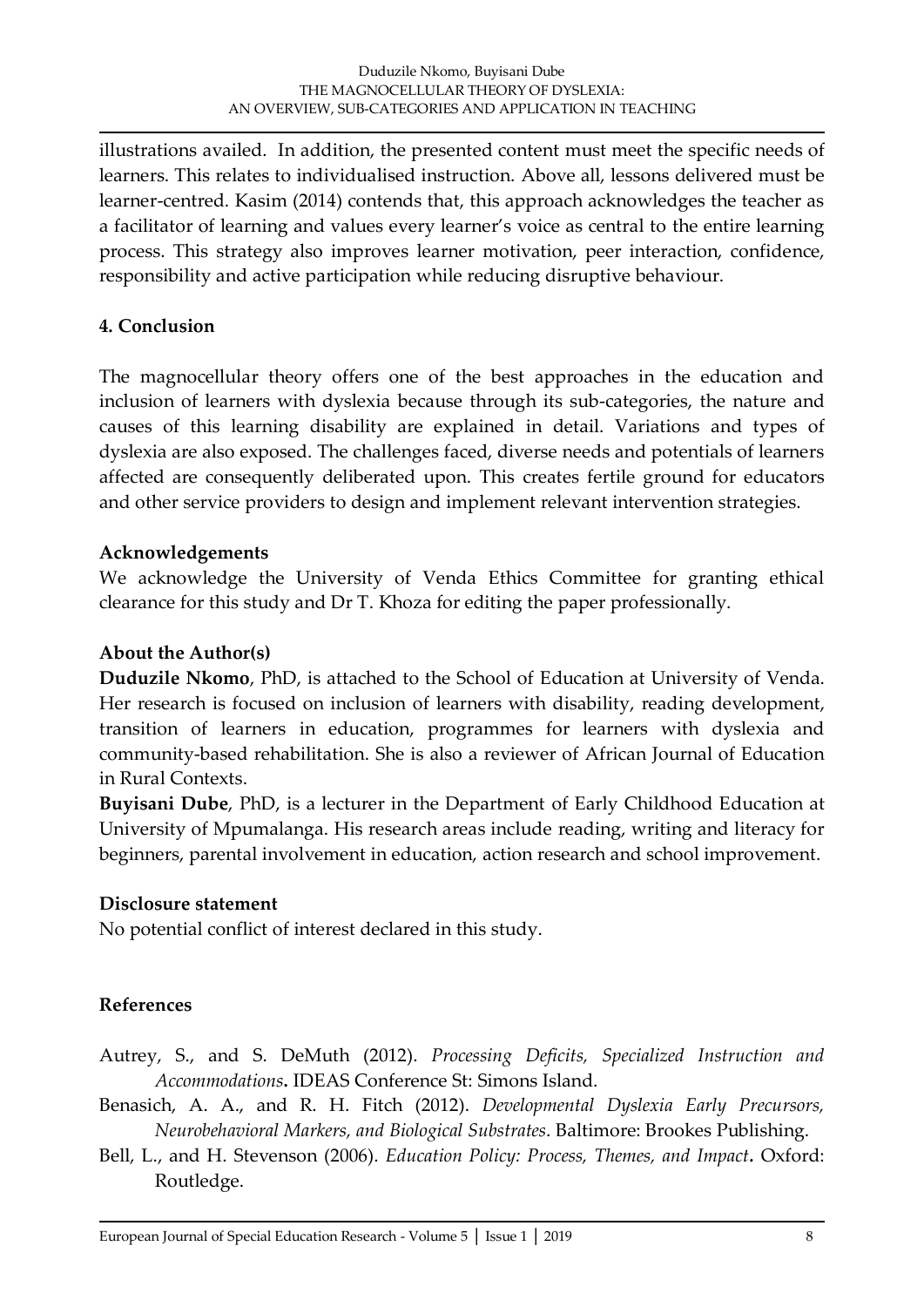illustrations availed. In addition, the presented content must meet the specific needs of learners. This relates to individualised instruction. Above all, lessons delivered must be learner-centred. Kasim (2014) contends that, this approach acknowledges the teacher as a facilitator of learning and values every learner's voice as central to the entire learning process. This strategy also improves learner motivation, peer interaction, confidence, responsibility and active participation while reducing disruptive behaviour.

# **4. Conclusion**

The magnocellular theory offers one of the best approaches in the education and inclusion of learners with dyslexia because through its sub-categories, the nature and causes of this learning disability are explained in detail. Variations and types of dyslexia are also exposed. The challenges faced, diverse needs and potentials of learners affected are consequently deliberated upon. This creates fertile ground for educators and other service providers to design and implement relevant intervention strategies.

#### **Acknowledgements**

We acknowledge the University of Venda Ethics Committee for granting ethical clearance for this study and Dr T. Khoza for editing the paper professionally.

## **About the Author(s)**

**Duduzile Nkomo**, PhD, is attached to the School of Education at University of Venda. Her research is focused on inclusion of learners with disability, reading development, transition of learners in education, programmes for learners with dyslexia and community-based rehabilitation. She is also a reviewer of African Journal of Education in Rural Contexts.

**Buyisani Dube**, PhD, is a lecturer in the Department of Early Childhood Education at University of Mpumalanga. His research areas include reading, writing and literacy for beginners, parental involvement in education, action research and school improvement.

#### **Disclosure statement**

No potential conflict of interest declared in this study.

# **References**

- Autrey, S., and S. DeMuth (2012). *Processing Deficits, Specialized Instruction and Accommodations***.** IDEAS Conference St: Simons Island.
- Benasich, A. A., and R. H. Fitch (2012). *Developmental Dyslexia Early Precursors, Neurobehavioral Markers, and Biological Substrates*. Baltimore: Brookes Publishing.
- Bell, L., and H. Stevenson (2006). *Education Policy: Process, Themes, and Impact.* Oxford: Routledge.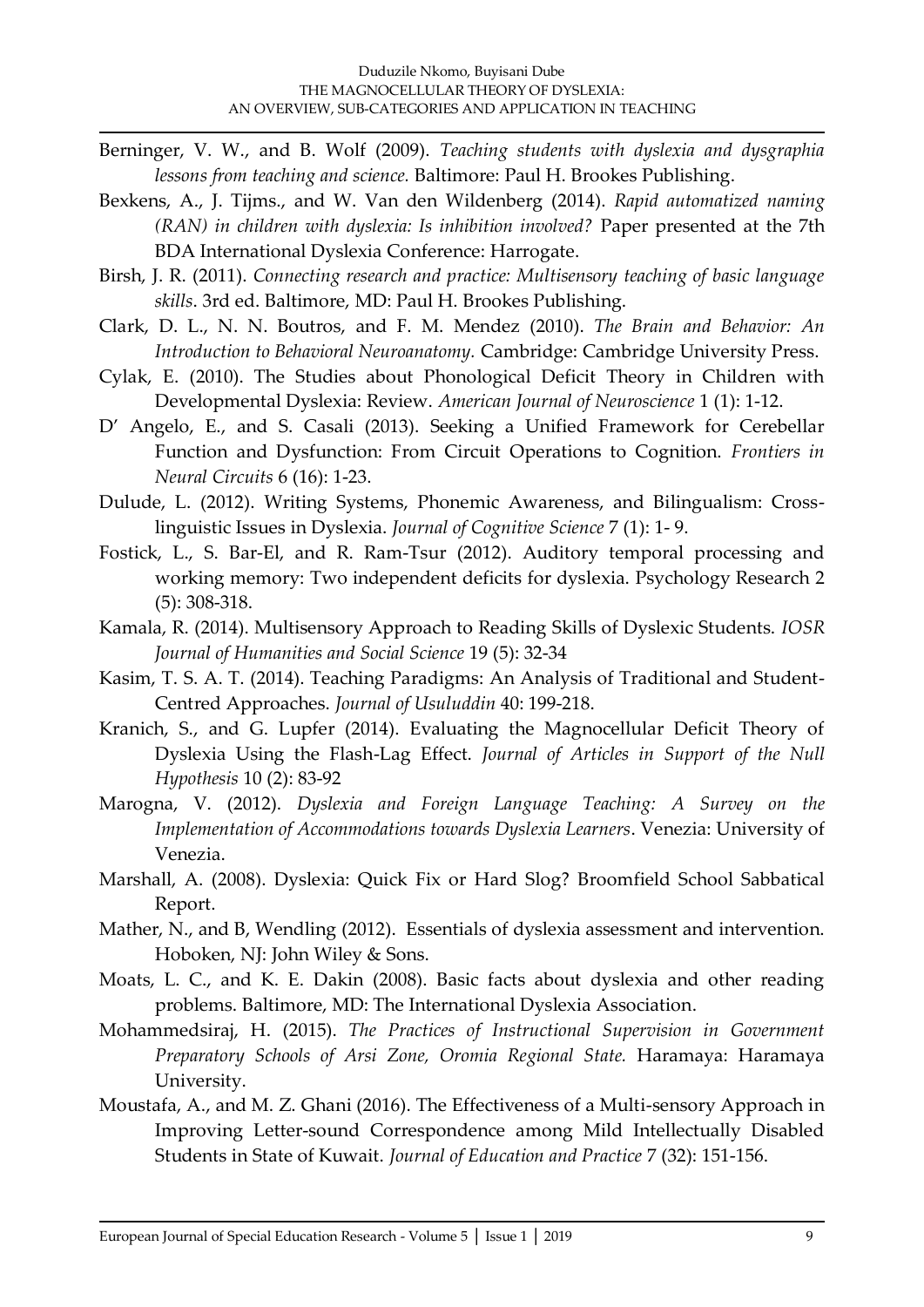- Berninger, V. W., and B. Wolf (2009). *Teaching students with dyslexia and dysgraphia lessons from teaching and science.* Baltimore: Paul H. Brookes Publishing.
- Bexkens, A., J. Tijms., and W. Van den Wildenberg (2014). *Rapid automatized naming (RAN) in children with dyslexia: Is inhibition involved?* Paper presented at the 7th BDA International Dyslexia Conference: Harrogate.
- Birsh, J. R. (2011). *Connecting research and practice: Multisensory teaching of basic language skills*. 3rd ed. Baltimore, MD: Paul H. Brookes Publishing.
- Clark, D. L., N. N. Boutros, and F. M. Mendez (2010). *The Brain and Behavior: An Introduction to Behavioral Neuroanatomy.* Cambridge: Cambridge University Press.
- Cylak, E. (2010). The Studies about Phonological Deficit Theory in Children with Developmental Dyslexia: Review. *American Journal of Neuroscience* 1 (1): 1-12.
- D' Angelo, E., and S. Casali (2013). Seeking a Unified Framework for Cerebellar Function and Dysfunction: From Circuit Operations to Cognition. *Frontiers in Neural Circuits* 6 (16): 1-23.
- Dulude, L. (2012). Writing Systems, Phonemic Awareness, and Bilingualism: Crosslinguistic Issues in Dyslexia. *Journal of Cognitive Science* 7 (1): 1- 9.
- Fostick, L., S. Bar-El, and R. Ram-Tsur (2012). Auditory temporal processing and working memory: Two independent deficits for dyslexia. Psychology Research 2 (5): 308-318.
- Kamala, R. (2014). Multisensory Approach to Reading Skills of Dyslexic Students. *IOSR Journal of Humanities and Social Science* 19 (5): 32-34
- Kasim, T. S. A. T. (2014). Teaching Paradigms: An Analysis of Traditional and Student-Centred Approaches. *Journal of Usuluddin* 40: 199-218.
- Kranich, S., and G. Lupfer (2014). Evaluating the Magnocellular Deficit Theory of Dyslexia Using the Flash-Lag Effect. *Journal of Articles in Support of the Null Hypothesis* 10 (2): 83-92
- Marogna, V. (2012). *Dyslexia and Foreign Language Teaching: A Survey on the Implementation of Accommodations towards Dyslexia Learners*. Venezia: University of Venezia.
- Marshall, A. (2008). Dyslexia: Quick Fix or Hard Slog? Broomfield School Sabbatical Report.
- Mather, N., and B, Wendling (2012). Essentials of dyslexia assessment and intervention. Hoboken, NJ: John Wiley & Sons.
- Moats, L. C., and K. E. Dakin (2008). Basic facts about dyslexia and other reading problems. Baltimore, MD: The International Dyslexia Association.
- Mohammedsiraj, H. (2015). *The Practices of Instructional Supervision in Government Preparatory Schools of Arsi Zone, Oromia Regional State.* Haramaya: Haramaya University.
- Moustafa, A., and M. Z. Ghani (2016). The Effectiveness of a Multi-sensory Approach in Improving Letter-sound Correspondence among Mild Intellectually Disabled Students in State of Kuwait. *Journal of Education and Practice* 7 (32): 151-156.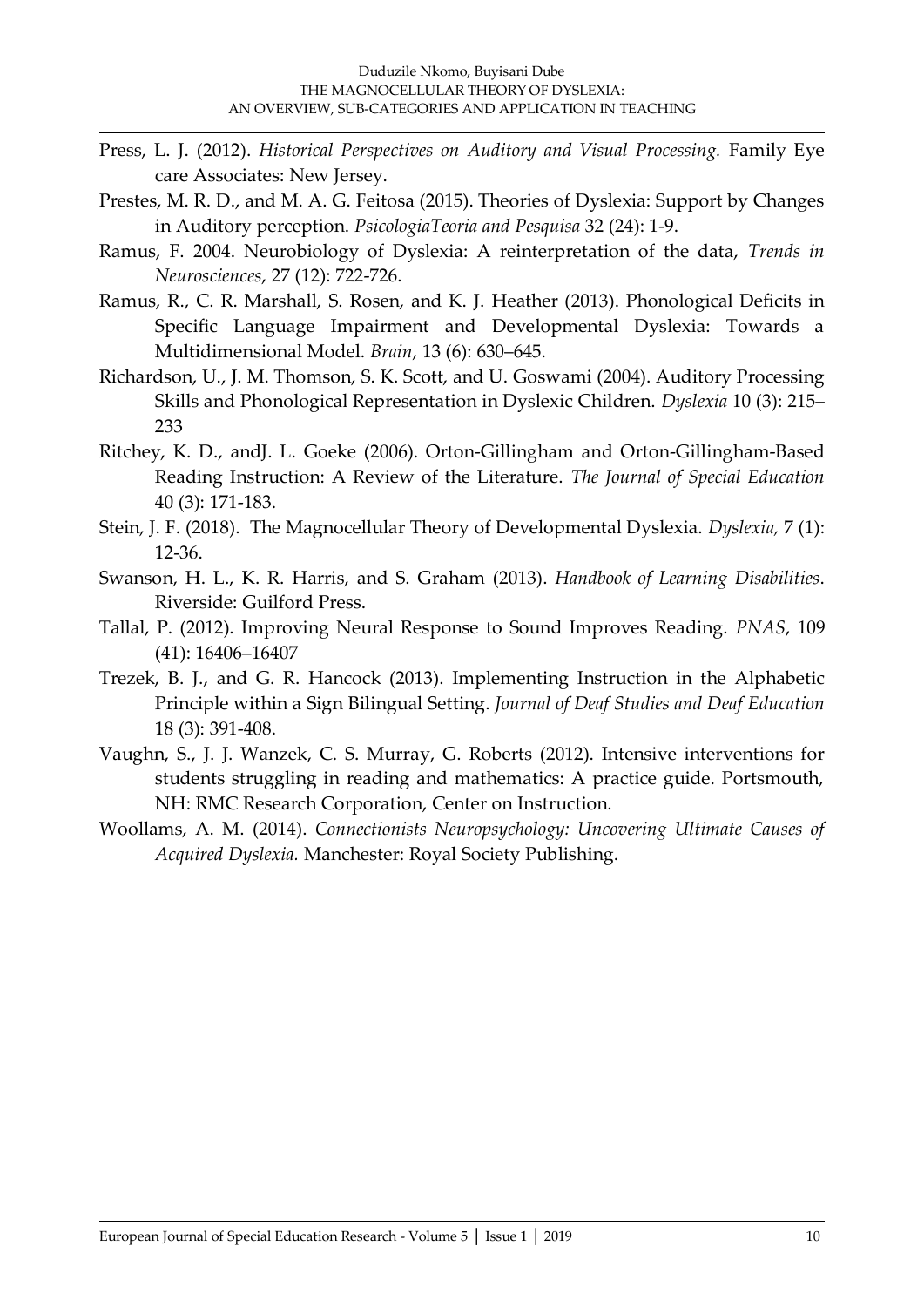- Press, L. J. (2012). *Historical Perspectives on Auditory and Visual Processing.* Family Eye care Associates: New Jersey.
- Prestes, M. R. D., and M. A. G. Feitosa (2015). Theories of Dyslexia: Support by Changes in Auditory perception. *PsicologiaTeoria and Pesquisa* 32 (24): 1-9.
- Ramus, F. 2004. Neurobiology of Dyslexia: A reinterpretation of the data, *Trends in Neurosciences*, 27 (12): 722-726.
- Ramus, R., C. R. Marshall, S. Rosen, and K. J. Heather (2013). Phonological Deficits in Specific Language Impairment and Developmental Dyslexia: Towards a Multidimensional Model. *Brain*, 13 (6): 630–645.
- Richardson, U., J. M. Thomson, S. K. Scott, and U. Goswami (2004). Auditory Processing Skills and Phonological Representation in Dyslexic Children. *Dyslexia* 10 (3): 215– 233
- Ritchey, K. D., andJ. L. Goeke (2006). Orton-Gillingham and Orton-Gillingham-Based Reading Instruction: A Review of the Literature. *The Journal of Special Education* 40 (3): 171-183.
- Stein, J. F. (2018). The Magnocellular Theory of Developmental Dyslexia. *Dyslexia,* 7 (1): 12-36.
- Swanson, H. L., K. R. Harris, and S. Graham (2013). *Handbook of Learning Disabilities*. Riverside: Guilford Press.
- Tallal, P. (2012). Improving Neural Response to Sound Improves Reading. *PNAS*, 109 (41): 16406–16407
- Trezek, B. J., and G. R. Hancock (2013). Implementing Instruction in the Alphabetic Principle within a Sign Bilingual Setting. *Journal of Deaf Studies and Deaf Education* 18 (3): 391-408.
- Vaughn, S., J. J. Wanzek, C. S. Murray, G. Roberts (2012). Intensive interventions for students struggling in reading and mathematics: A practice guide. Portsmouth, NH: RMC Research Corporation, Center on Instruction.
- Woollams, A. M. (2014). *Connectionists Neuropsychology: Uncovering Ultimate Causes of Acquired Dyslexia.* Manchester: Royal Society Publishing.